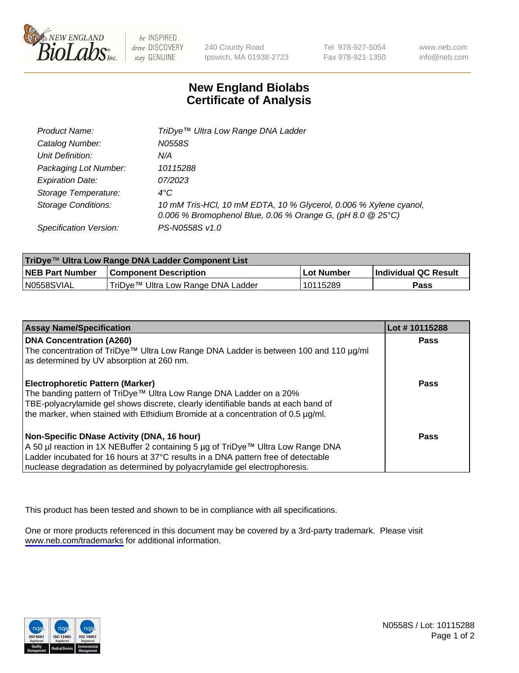

be INSPIRED drive DISCOVERY stay GENUINE

240 County Road Ipswich, MA 01938-2723 Tel 978-927-5054 Fax 978-921-1350

www.neb.com info@neb.com

## **New England Biolabs Certificate of Analysis**

| Product Name:              | TriDye <sup>™</sup> Ultra Low Range DNA Ladder                                                                                    |
|----------------------------|-----------------------------------------------------------------------------------------------------------------------------------|
| Catalog Number:            | N0558S                                                                                                                            |
| Unit Definition:           | N/A                                                                                                                               |
| Packaging Lot Number:      | 10115288                                                                                                                          |
| <b>Expiration Date:</b>    | 07/2023                                                                                                                           |
| Storage Temperature:       | $4^{\circ}$ C                                                                                                                     |
| <b>Storage Conditions:</b> | 10 mM Tris-HCl, 10 mM EDTA, 10 % Glycerol, 0.006 % Xylene cyanol,<br>0.006 % Bromophenol Blue, 0.06 % Orange G, (pH 8.0 $@25°C$ ) |
| Specification Version:     | PS-N0558S v1.0                                                                                                                    |

| TriDye™ Ultra Low Range DNA Ladder Component List |                                    |              |                      |  |
|---------------------------------------------------|------------------------------------|--------------|----------------------|--|
| <b>NEB Part Number</b>                            | <b>Component Description</b>       | l Lot Number | Individual QC Result |  |
| N0558SVIAL                                        | TriDye™ Ultra Low Range DNA Ladder | l 10115289   | <b>Pass</b>          |  |

| <b>Assay Name/Specification</b>                                                                                                   | Lot #10115288 |
|-----------------------------------------------------------------------------------------------------------------------------------|---------------|
| <b>DNA Concentration (A260)</b>                                                                                                   | <b>Pass</b>   |
| The concentration of TriDye™ Ultra Low Range DNA Ladder is between 100 and 110 µg/ml<br>as determined by UV absorption at 260 nm. |               |
| <b>Electrophoretic Pattern (Marker)</b>                                                                                           | Pass          |
| The banding pattern of TriDye™ Ultra Low Range DNA Ladder on a 20%                                                                |               |
| TBE-polyacrylamide gel shows discrete, clearly identifiable bands at each band of                                                 |               |
| the marker, when stained with Ethidium Bromide at a concentration of 0.5 µg/ml.                                                   |               |
| Non-Specific DNase Activity (DNA, 16 hour)                                                                                        | <b>Pass</b>   |
| A 50 µl reaction in 1X NEBuffer 2 containing 5 µg of TriDye™ Ultra Low Range DNA                                                  |               |
| Ladder incubated for 16 hours at 37°C results in a DNA pattern free of detectable                                                 |               |
| nuclease degradation as determined by polyacrylamide gel electrophoresis.                                                         |               |

This product has been tested and shown to be in compliance with all specifications.

One or more products referenced in this document may be covered by a 3rd-party trademark. Please visit <www.neb.com/trademarks>for additional information.